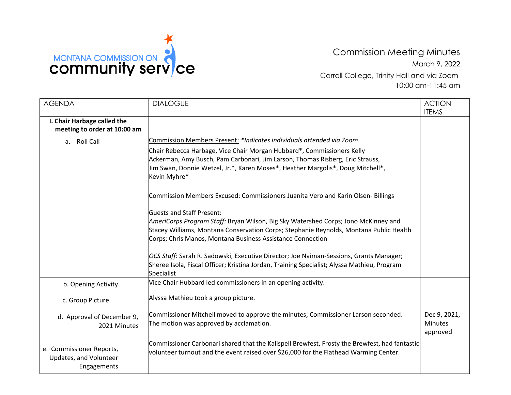

Commission Meeting Minutes March 9, 2022 Carroll College, Trinity Hall and via Zoom 10:00 am-11:45 am

| <b>AGENDA</b>                                                     | <b>DIALOGUE</b>                                                                                                                                                                                                                                           | <b>ACTION</b><br><b>ITEMS</b>              |
|-------------------------------------------------------------------|-----------------------------------------------------------------------------------------------------------------------------------------------------------------------------------------------------------------------------------------------------------|--------------------------------------------|
| I. Chair Harbage called the<br>meeting to order at 10:00 am       |                                                                                                                                                                                                                                                           |                                            |
| a. Roll Call                                                      | Commission Members Present: *Indicates individuals attended via Zoom                                                                                                                                                                                      |                                            |
|                                                                   | Chair Rebecca Harbage, Vice Chair Morgan Hubbard*, Commissioners Kelly<br>Ackerman, Amy Busch, Pam Carbonari, Jim Larson, Thomas Risberg, Eric Strauss,<br>um Swan, Donnie Wetzel, Jr.*, Karen Moses*, Heather Margolis*, Doug Mitchell*,<br>Kevin Myhre* |                                            |
|                                                                   | Commission Members Excused: Commissioners Juanita Vero and Karin Olsen- Billings                                                                                                                                                                          |                                            |
|                                                                   | <b>Guests and Staff Present:</b>                                                                                                                                                                                                                          |                                            |
|                                                                   | AmeriCorps Program Staff: Bryan Wilson, Big Sky Watershed Corps; Jono McKinney and                                                                                                                                                                        |                                            |
|                                                                   | Stacey Williams, Montana Conservation Corps; Stephanie Reynolds, Montana Public Health                                                                                                                                                                    |                                            |
|                                                                   | Corps; Chris Manos, Montana Business Assistance Connection                                                                                                                                                                                                |                                            |
|                                                                   | OCS Staff: Sarah R. Sadowski, Executive Director; Joe Naiman-Sessions, Grants Manager;                                                                                                                                                                    |                                            |
|                                                                   | Sheree Isola, Fiscal Officer; Kristina Jordan, Training Specialist; Alyssa Mathieu, Program<br>Specialist                                                                                                                                                 |                                            |
| b. Opening Activity                                               | Vice Chair Hubbard led commissioners in an opening activity.                                                                                                                                                                                              |                                            |
| c. Group Picture                                                  | Alyssa Mathieu took a group picture.                                                                                                                                                                                                                      |                                            |
| d. Approval of December 9,<br>2021 Minutes                        | Commissioner Mitchell moved to approve the minutes; Commissioner Larson seconded.<br>The motion was approved by acclamation.                                                                                                                              | Dec 9, 2021,<br><b>Minutes</b><br>approved |
| e. Commissioner Reports,<br>Updates, and Volunteer<br>Engagements | Commissioner Carbonari shared that the Kalispell Brewfest, Frosty the Brewfest, had fantastic<br>volunteer turnout and the event raised over \$26,000 for the Flathead Warming Center.                                                                    |                                            |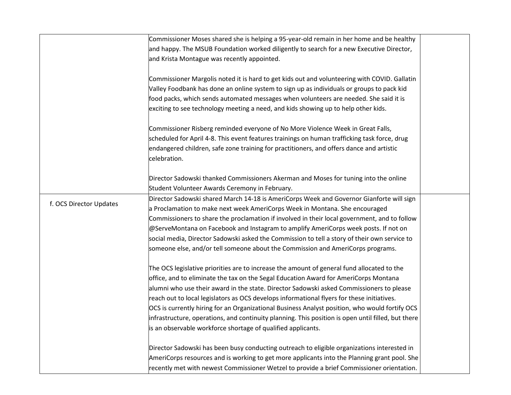|                         | Commissioner Moses shared she is helping a 95-year-old remain in her home and be healthy           |  |
|-------------------------|----------------------------------------------------------------------------------------------------|--|
|                         | and happy. The MSUB Foundation worked diligently to search for a new Executive Director,           |  |
|                         | and Krista Montague was recently appointed.                                                        |  |
|                         |                                                                                                    |  |
|                         | Commissioner Margolis noted it is hard to get kids out and volunteering with COVID. Gallatin       |  |
|                         | Valley Foodbank has done an online system to sign up as individuals or groups to pack kid          |  |
|                         | food packs, which sends automated messages when volunteers are needed. She said it is              |  |
|                         | exciting to see technology meeting a need, and kids showing up to help other kids.                 |  |
|                         | Commissioner Risberg reminded everyone of No More Violence Week in Great Falls,                    |  |
|                         | scheduled for April 4-8. This event features trainings on human trafficking task force, drug       |  |
|                         | endangered children, safe zone training for practitioners, and offers dance and artistic           |  |
|                         | celebration.                                                                                       |  |
|                         |                                                                                                    |  |
|                         | Director Sadowski thanked Commissioners Akerman and Moses for tuning into the online               |  |
|                         | Student Volunteer Awards Ceremony in February.                                                     |  |
| f. OCS Director Updates | Director Sadowski shared March 14-18 is AmeriCorps Week and Governor Gianforte will sign           |  |
|                         | a Proclamation to make next week AmeriCorps Week in Montana. She encouraged                        |  |
|                         | Commissioners to share the proclamation if involved in their local government, and to follow       |  |
|                         | @ServeMontana on Facebook and Instagram to amplify AmeriCorps week posts. If not on                |  |
|                         | social media, Director Sadowski asked the Commission to tell a story of their own service to       |  |
|                         | someone else, and/or tell someone about the Commission and AmeriCorps programs.                    |  |
|                         | The OCS legislative priorities are to increase the amount of general fund allocated to the         |  |
|                         | office, and to eliminate the tax on the Segal Education Award for AmeriCorps Montana               |  |
|                         | alumni who use their award in the state. Director Sadowski asked Commissioners to please           |  |
|                         | reach out to local legislators as OCS develops informational flyers for these initiatives.         |  |
|                         | OCS is currently hiring for an Organizational Business Analyst position, who would fortify OCS     |  |
|                         | infrastructure, operations, and continuity planning. This position is open until filled, but there |  |
|                         | is an observable workforce shortage of qualified applicants.                                       |  |
|                         |                                                                                                    |  |
|                         | Director Sadowski has been busy conducting outreach to eligible organizations interested in        |  |
|                         | AmeriCorps resources and is working to get more applicants into the Planning grant pool. She       |  |
|                         | recently met with newest Commissioner Wetzel to provide a brief Commissioner orientation.          |  |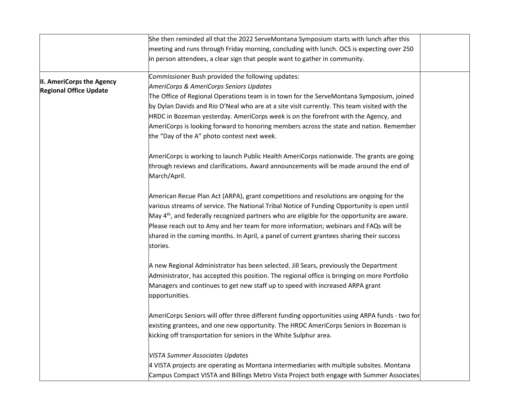|                               | She then reminded all that the 2022 ServeMontana Symposium starts with lunch after this                |  |
|-------------------------------|--------------------------------------------------------------------------------------------------------|--|
|                               | meeting and runs through Friday morning, concluding with lunch. OCS is expecting over 250              |  |
|                               | in person attendees, a clear sign that people want to gather in community.                             |  |
|                               |                                                                                                        |  |
| II. AmeriCorps the Agency     | Commissioner Bush provided the following updates:                                                      |  |
| <b>Regional Office Update</b> | AmeriCorps & AmeriCorps Seniors Updates                                                                |  |
|                               | The Office of Regional Operations team is in town for the ServeMontana Symposium, joined               |  |
|                               | by Dylan Davids and Rio O'Neal who are at a site visit currently. This team visited with the           |  |
|                               | HRDC in Bozeman yesterday. AmeriCorps week is on the forefront with the Agency, and                    |  |
|                               | AmeriCorps is looking forward to honoring members across the state and nation. Remember                |  |
|                               | the "Day of the A" photo contest next week.                                                            |  |
|                               | AmeriCorps is working to launch Public Health AmeriCorps nationwide. The grants are going              |  |
|                               | through reviews and clarifications. Award announcements will be made around the end of<br>March/April. |  |
|                               | American Recue Plan Act (ARPA), grant competitions and resolutions are ongoing for the                 |  |
|                               | various streams of service. The National Tribal Notice of Funding Opportunity is open until            |  |
|                               | May $4th$ , and federally recognized partners who are eligible for the opportunity are aware.          |  |
|                               | Please reach out to Amy and her team for more information; webinars and FAQs will be                   |  |
|                               | shared in the coming months. In April, a panel of current grantees sharing their success               |  |
|                               | stories.                                                                                               |  |
|                               | A new Regional Administrator has been selected. Jill Sears, previously the Department                  |  |
|                               | Administrator, has accepted this position. The regional office is bringing on more Portfolio           |  |
|                               | Managers and continues to get new staff up to speed with increased ARPA grant                          |  |
|                               | opportunities.                                                                                         |  |
|                               | AmeriCorps Seniors will offer three different funding opportunities using ARPA funds - two for         |  |
|                               | existing grantees, and one new opportunity. The HRDC AmeriCorps Seniors in Bozeman is                  |  |
|                               | kicking off transportation for seniors in the White Sulphur area.                                      |  |
|                               | <b>VISTA Summer Associates Updates</b>                                                                 |  |
|                               | 4 VISTA projects are operating as Montana intermediaries with multiple subsites. Montana               |  |
|                               | Campus Compact VISTA and Billings Metro Vista Project both engage with Summer Associates               |  |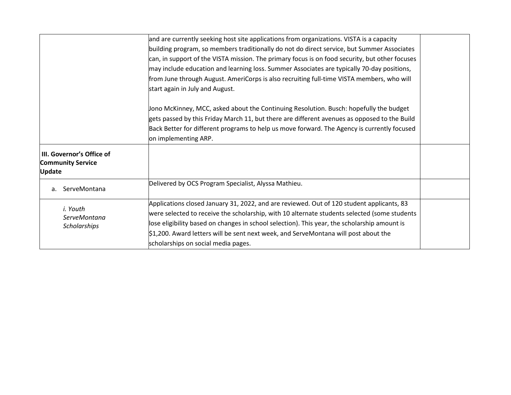|                                                                        | and are currently seeking host site applications from organizations. VISTA is a capacity       |  |
|------------------------------------------------------------------------|------------------------------------------------------------------------------------------------|--|
|                                                                        | building program, so members traditionally do not do direct service, but Summer Associates     |  |
|                                                                        | can, in support of the VISTA mission. The primary focus is on food security, but other focuses |  |
|                                                                        | may include education and learning loss. Summer Associates are typically 70-day positions,     |  |
|                                                                        | from June through August. AmeriCorps is also recruiting full-time VISTA members, who will      |  |
|                                                                        | start again in July and August.                                                                |  |
|                                                                        | Jono McKinney, MCC, asked about the Continuing Resolution. Busch: hopefully the budget         |  |
|                                                                        | gets passed by this Friday March 11, but there are different avenues as opposed to the Build   |  |
|                                                                        | Back Better for different programs to help us move forward. The Agency is currently focused    |  |
|                                                                        | on implementing ARP.                                                                           |  |
| III. Governor's Office of<br><b>Community Service</b><br><b>Update</b> |                                                                                                |  |
| ServeMontana<br>a.                                                     | Delivered by OCS Program Specialist, Alyssa Mathieu.                                           |  |
| i. Youth                                                               | Applications closed January 31, 2022, and are reviewed. Out of 120 student applicants, 83      |  |
| ServeMontana                                                           | were selected to receive the scholarship, with 10 alternate students selected (some students   |  |
| Scholarships                                                           | lose eligibility based on changes in school selection). This year, the scholarship amount is   |  |
|                                                                        | \$1,200. Award letters will be sent next week, and ServeMontana will post about the            |  |
|                                                                        | scholarships on social media pages.                                                            |  |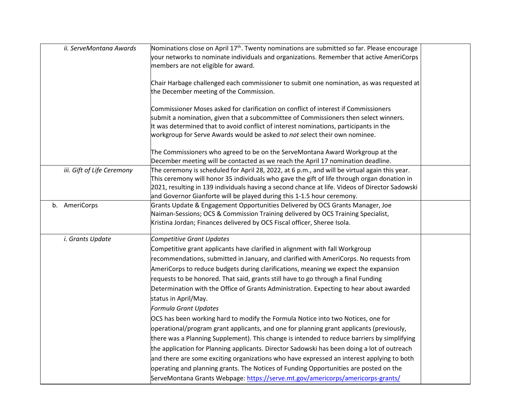| ii. ServeMontana Awards    | Nominations close on April 17 <sup>th</sup> . Twenty nominations are submitted so far. Please encourage<br>your networks to nominate individuals and organizations. Remember that active AmeriCorps<br>members are not eligible for award.                                                                                                                                                                                                                                                                                                                                                                                                                                                                                                                                                                                                                                                                                                                                                                                                                                                                                                                                          |  |
|----------------------------|-------------------------------------------------------------------------------------------------------------------------------------------------------------------------------------------------------------------------------------------------------------------------------------------------------------------------------------------------------------------------------------------------------------------------------------------------------------------------------------------------------------------------------------------------------------------------------------------------------------------------------------------------------------------------------------------------------------------------------------------------------------------------------------------------------------------------------------------------------------------------------------------------------------------------------------------------------------------------------------------------------------------------------------------------------------------------------------------------------------------------------------------------------------------------------------|--|
|                            | Chair Harbage challenged each commissioner to submit one nomination, as was requested at<br>the December meeting of the Commission.                                                                                                                                                                                                                                                                                                                                                                                                                                                                                                                                                                                                                                                                                                                                                                                                                                                                                                                                                                                                                                                 |  |
|                            | Commissioner Moses asked for clarification on conflict of interest if Commissioners<br>submit a nomination, given that a subcommittee of Commissioners then select winners.<br>It was determined that to avoid conflict of interest nominations, participants in the<br>workgroup for Serve Awards would be asked to not select their own nominee.                                                                                                                                                                                                                                                                                                                                                                                                                                                                                                                                                                                                                                                                                                                                                                                                                                  |  |
|                            | The Commissioners who agreed to be on the ServeMontana Award Workgroup at the<br>December meeting will be contacted as we reach the April 17 nomination deadline.                                                                                                                                                                                                                                                                                                                                                                                                                                                                                                                                                                                                                                                                                                                                                                                                                                                                                                                                                                                                                   |  |
| iii. Gift of Life Ceremony | The ceremony is scheduled for April 28, 2022, at 6 p.m., and will be virtual again this year.<br>This ceremony will honor 35 individuals who gave the gift of life through organ donation in<br>2021, resulting in 139 individuals having a second chance at life. Videos of Director Sadowski<br>and Governor Gianforte will be played during this 1-1.5 hour ceremony.                                                                                                                                                                                                                                                                                                                                                                                                                                                                                                                                                                                                                                                                                                                                                                                                            |  |
| b. AmeriCorps              | Grants Update & Engagement Opportunities Delivered by OCS Grants Manager, Joe<br>Naiman-Sessions; OCS & Commission Training delivered by OCS Training Specialist,<br>Kristina Jordan; Finances delivered by OCS Fiscal officer, Sheree Isola.                                                                                                                                                                                                                                                                                                                                                                                                                                                                                                                                                                                                                                                                                                                                                                                                                                                                                                                                       |  |
| i. Grants Update           | Competitive Grant Updates<br>Competitive grant applicants have clarified in alignment with fall Workgroup<br>recommendations, submitted in January, and clarified with AmeriCorps. No requests from<br>AmeriCorps to reduce budgets during clarifications, meaning we expect the expansion<br>requests to be honored. That said, grants still have to go through a final Funding<br>Determination with the Office of Grants Administration. Expecting to hear about awarded<br>status in April/May.<br>Formula Grant Updates<br>OCS has been working hard to modify the Formula Notice into two Notices, one for<br>operational/program grant applicants, and one for planning grant applicants (previously,<br>there was a Planning Supplement). This change is intended to reduce barriers by simplifying<br>the application for Planning applicants. Director Sadowski has been doing a lot of outreach<br>and there are some exciting organizations who have expressed an interest applying to both<br>operating and planning grants. The Notices of Funding Opportunities are posted on the<br>ServeMontana Grants Webpage: https://serve.mt.gov/americorps/americorps-grants/ |  |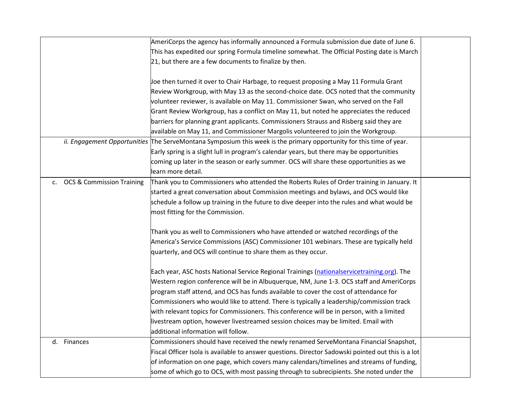|    |                              | AmeriCorps the agency has informally announced a Formula submission due date of June 6.                             |  |
|----|------------------------------|---------------------------------------------------------------------------------------------------------------------|--|
|    |                              | This has expedited our spring Formula timeline somewhat. The Official Posting date is March                         |  |
|    |                              | 21, but there are a few documents to finalize by then.                                                              |  |
|    |                              |                                                                                                                     |  |
|    |                              | Joe then turned it over to Chair Harbage, to request proposing a May 11 Formula Grant                               |  |
|    |                              | Review Workgroup, with May 13 as the second-choice date. OCS noted that the community                               |  |
|    |                              | volunteer reviewer, is available on May 11. Commissioner Swan, who served on the Fall                               |  |
|    |                              | Grant Review Workgroup, has a conflict on May 11, but noted he appreciates the reduced                              |  |
|    |                              | barriers for planning grant applicants. Commissioners Strauss and Risberg said they are                             |  |
|    |                              | available on May 11, and Commissioner Margolis volunteered to join the Workgroup.                                   |  |
|    |                              | ii. Engagement Opportunities The ServeMontana Symposium this week is the primary opportunity for this time of year. |  |
|    |                              | Early spring is a slight lull in program's calendar years, but there may be opportunities                           |  |
|    |                              | coming up later in the season or early summer. OCS will share these opportunities as we                             |  |
|    |                              | learn more detail.                                                                                                  |  |
|    | c. OCS & Commission Training | Thank you to Commissioners who attended the Roberts Rules of Order training in January. It                          |  |
|    |                              | started a great conversation about Commission meetings and bylaws, and OCS would like                               |  |
|    |                              | schedule a follow up training in the future to dive deeper into the rules and what would be                         |  |
|    |                              | most fitting for the Commission.                                                                                    |  |
|    |                              |                                                                                                                     |  |
|    |                              | Thank you as well to Commissioners who have attended or watched recordings of the                                   |  |
|    |                              | America's Service Commissions (ASC) Commissioner 101 webinars. These are typically held                             |  |
|    |                              | quarterly, and OCS will continue to share them as they occur.                                                       |  |
|    |                              |                                                                                                                     |  |
|    |                              | Each year, ASC hosts National Service Regional Trainings (nationalservicetraining.org). The                         |  |
|    |                              | Western region conference will be in Albuquerque, NM, June 1-3. OCS staff and AmeriCorps                            |  |
|    |                              | program staff attend, and OCS has funds available to cover the cost of attendance for                               |  |
|    |                              | Commissioners who would like to attend. There is typically a leadership/commission track                            |  |
|    |                              | with relevant topics for Commissioners. This conference will be in person, with a limited                           |  |
|    |                              | livestream option, however livestreamed session choices may be limited. Email with                                  |  |
|    |                              | additional information will follow.                                                                                 |  |
| d. | Finances                     | Commissioners should have received the newly renamed ServeMontana Financial Snapshot,                               |  |
|    |                              | Fiscal Officer Isola is available to answer questions. Director Sadowski pointed out this is a lot                  |  |
|    |                              | of information on one page, which covers many calendars/timelines and streams of funding,                           |  |
|    |                              | some of which go to OCS, with most passing through to subrecipients. She noted under the                            |  |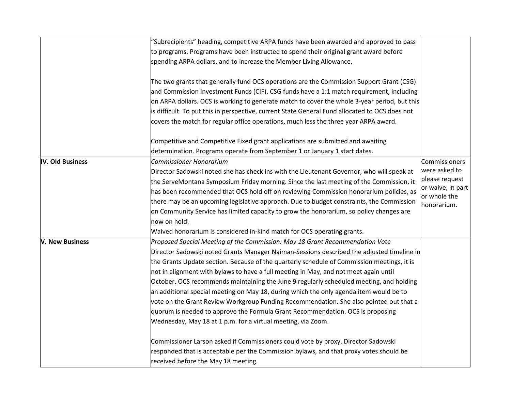|                  | 'Subrecipients" heading, competitive ARPA funds have been awarded and approved to pass                                                                        |                                   |
|------------------|---------------------------------------------------------------------------------------------------------------------------------------------------------------|-----------------------------------|
|                  | to programs. Programs have been instructed to spend their original grant award before                                                                         |                                   |
|                  | spending ARPA dollars, and to increase the Member Living Allowance.                                                                                           |                                   |
|                  | The two grants that generally fund OCS operations are the Commission Support Grant (CSG)                                                                      |                                   |
|                  | and Commission Investment Funds (CIF). CSG funds have a 1:1 match requirement, including                                                                      |                                   |
|                  | on ARPA dollars. OCS is working to generate match to cover the whole 3-year period, but this                                                                  |                                   |
|                  | is difficult. To put this in perspective, current State General Fund allocated to OCS does not                                                                |                                   |
|                  | covers the match for regular office operations, much less the three year ARPA award.                                                                          |                                   |
|                  | Competitive and Competitive Fixed grant applications are submitted and awaiting<br>determination. Programs operate from September 1 or January 1 start dates. |                                   |
| IV. Old Business | <b>Commissioner Honorarium</b>                                                                                                                                | Commissioners                     |
|                  | Director Sadowski noted she has check ins with the Lieutenant Governor, who will speak at                                                                     | were asked to                     |
|                  | the ServeMontana Symposium Friday morning. Since the last meeting of the Commission, it                                                                       | please request                    |
|                  | has been recommended that OCS hold off on reviewing Commission honorarium policies, as                                                                        | or waive, in part<br>or whole the |
|                  | there may be an upcoming legislative approach. Due to budget constraints, the Commission                                                                      | honorarium.                       |
|                  | on Community Service has limited capacity to grow the honorarium, so policy changes are                                                                       |                                   |
|                  | now on hold.                                                                                                                                                  |                                   |
|                  | Waived honorarium is considered in-kind match for OCS operating grants.                                                                                       |                                   |
| V. New Business  | Proposed Special Meeting of the Commission: May 18 Grant Recommendation Vote                                                                                  |                                   |
|                  | Director Sadowski noted Grants Manager Naiman-Sessions described the adjusted timeline in                                                                     |                                   |
|                  | the Grants Update section. Because of the quarterly schedule of Commission meetings, it is                                                                    |                                   |
|                  | not in alignment with bylaws to have a full meeting in May, and not meet again until                                                                          |                                   |
|                  | October. OCS recommends maintaining the June 9 regularly scheduled meeting, and holding                                                                       |                                   |
|                  | an additional special meeting on May 18, during which the only agenda item would be to                                                                        |                                   |
|                  | vote on the Grant Review Workgroup Funding Recommendation. She also pointed out that a                                                                        |                                   |
|                  | quorum is needed to approve the Formula Grant Recommendation. OCS is proposing                                                                                |                                   |
|                  | Wednesday, May 18 at 1 p.m. for a virtual meeting, via Zoom.                                                                                                  |                                   |
|                  | Commissioner Larson asked if Commissioners could vote by proxy. Director Sadowski                                                                             |                                   |
|                  | responded that is acceptable per the Commission bylaws, and that proxy votes should be                                                                        |                                   |
|                  | received before the May 18 meeting.                                                                                                                           |                                   |